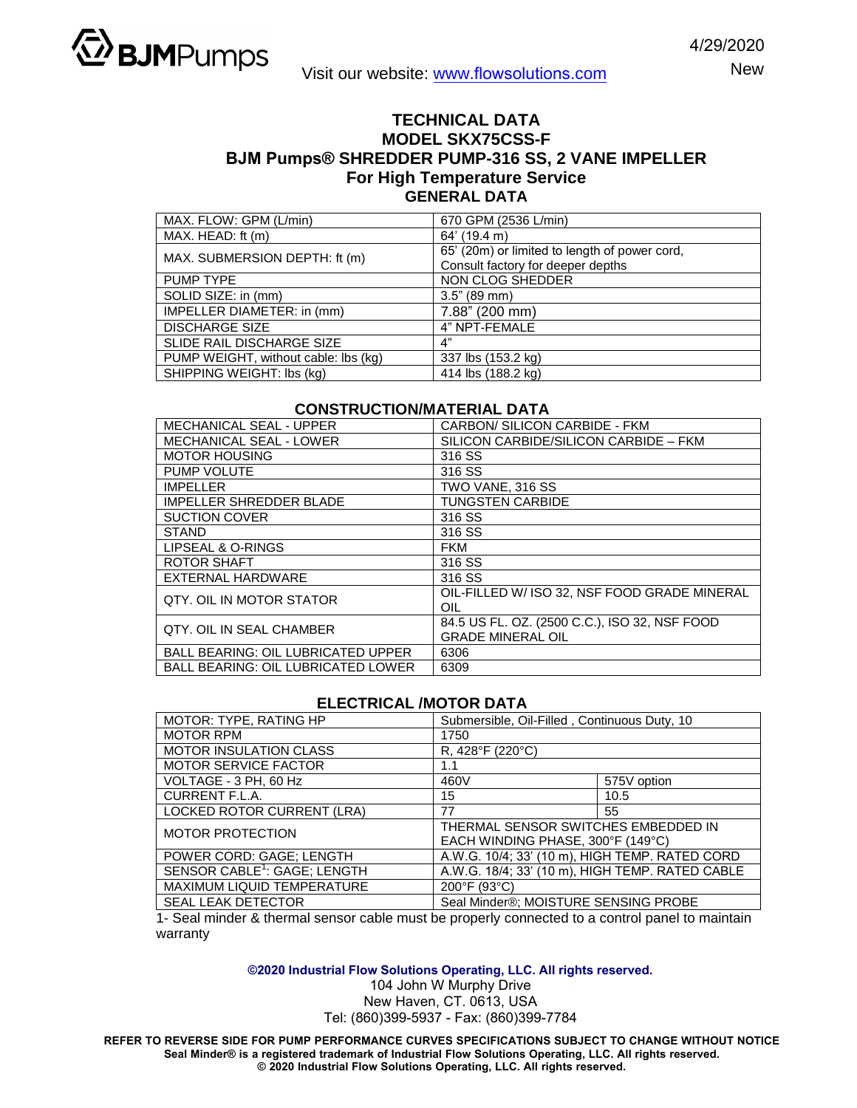

New

## **TECHNICAL DATA MODEL SKX75CSS-F BJM Pumps® SHREDDER PUMP-316 SS, 2 VANE IMPELLER For High Temperature Service GENERAL DATA**

| MAX. FLOW: GPM (L/min)               | 670 GPM (2536 L/min)                          |  |
|--------------------------------------|-----------------------------------------------|--|
| MAX. HEAD: ft (m)                    | 64' (19.4 m)                                  |  |
| MAX. SUBMERSION DEPTH: ft (m)        | 65' (20m) or limited to length of power cord, |  |
|                                      | Consult factory for deeper depths             |  |
| PUMP TYPE                            | NON CLOG SHEDDER                              |  |
| SOLID SIZE: in (mm)                  | $3.5"$ (89 mm)                                |  |
| IMPELLER DIAMETER: in (mm)           | 7.88" (200 mm)                                |  |
| <b>DISCHARGE SIZE</b>                | 4" NPT-FEMALE                                 |  |
| <b>SLIDE RAIL DISCHARGE SIZE</b>     | 4"                                            |  |
| PUMP WEIGHT, without cable: lbs (kg) | 337 lbs (153.2 kg)                            |  |
| SHIPPING WEIGHT: Ibs (kg)            | 414 lbs (188.2 kg)                            |  |

## **CONSTRUCTION/MATERIAL DATA**

| <b>MECHANICAL SEAL - UPPER</b>            | CARBON/ SILICON CARBIDE - FKM                 |  |  |
|-------------------------------------------|-----------------------------------------------|--|--|
| <b>MECHANICAL SEAL - LOWER</b>            | SILICON CARBIDE/SILICON CARBIDE - FKM         |  |  |
| <b>MOTOR HOUSING</b>                      | 316 SS                                        |  |  |
| PUMP VOLUTE                               | 316 SS                                        |  |  |
| <b>IMPELLER</b>                           | TWO VANE, 316 SS                              |  |  |
| <b>IMPELLER SHREDDER BLADE</b>            | <b>TUNGSTEN CARBIDE</b>                       |  |  |
| <b>SUCTION COVER</b>                      | 316 SS                                        |  |  |
| STAND                                     | 316 SS                                        |  |  |
| LIPSEAL & O-RINGS                         | <b>FKM</b>                                    |  |  |
| ROTOR SHAFT                               | 316 SS                                        |  |  |
| EXTERNAL HARDWARE                         | 316 SS                                        |  |  |
| QTY, OIL IN MOTOR STATOR                  | OIL-FILLED W/ ISO 32. NSF FOOD GRADE MINERAL  |  |  |
|                                           | OIL                                           |  |  |
| OTY, OIL IN SEAL CHAMBER                  | 84.5 US FL. OZ. (2500 C.C.), ISO 32, NSF FOOD |  |  |
|                                           | <b>GRADE MINERAL OIL</b>                      |  |  |
| <b>BALL BEARING: OIL LUBRICATED UPPER</b> | 6306                                          |  |  |
| <b>BALL BEARING: OIL LUBRICATED LOWER</b> | 6309                                          |  |  |

## **ELECTRICAL /MOTOR DATA**

| MOTOR: TYPE, RATING HP                   | Submersible, Oil-Filled, Continuous Duty, 10    |             |  |
|------------------------------------------|-------------------------------------------------|-------------|--|
| <b>MOTOR RPM</b>                         | 1750                                            |             |  |
| <b>MOTOR INSULATION CLASS</b>            | R, 428°F (220°C)                                |             |  |
| MOTOR SERVICE FACTOR                     | 1.1                                             |             |  |
| VOLTAGE - 3 PH, 60 Hz                    | 460V                                            | 575V option |  |
| CURRENT F.L.A.                           | 15                                              | 10.5        |  |
| LOCKED ROTOR CURRENT (LRA)               | 77                                              | 55          |  |
| <b>MOTOR PROTECTION</b>                  | THERMAL SENSOR SWITCHES EMBEDDED IN             |             |  |
|                                          | EACH WINDING PHASE, 300°F (149°C)               |             |  |
| POWER CORD: GAGE; LENGTH                 | A.W.G. 10/4; 33' (10 m), HIGH TEMP. RATED CORD  |             |  |
| SENSOR CABLE <sup>1</sup> : GAGE; LENGTH | A.W.G. 18/4; 33' (10 m), HIGH TEMP. RATED CABLE |             |  |
| MAXIMUM LIQUID TEMPERATURE               | 200°F (93°C)                                    |             |  |
| <b>SEAL LEAK DETECTOR</b>                | Seal Minder®; MOISTURE SENSING PROBE            |             |  |

1- Seal minder & thermal sensor cable must be properly connected to a control panel to maintain warranty

**©2020 Industrial Flow Solutions Operating, LLC. All rights reserved.**

104 John W Murphy Drive

New Haven, CT. 0613, USA

Tel: (860)399-5937 - Fax: (860)399-7784

**REFER TO REVERSE SIDE FOR PUMP PERFORMANCE CURVES SPECIFICATIONS SUBJECT TO CHANGE WITHOUT NOTICE Seal Minder® is a registered trademark of Industrial Flow Solutions Operating, LLC. All rights reserved. © 2020 Industrial Flow Solutions Operating, LLC. All rights reserved.**